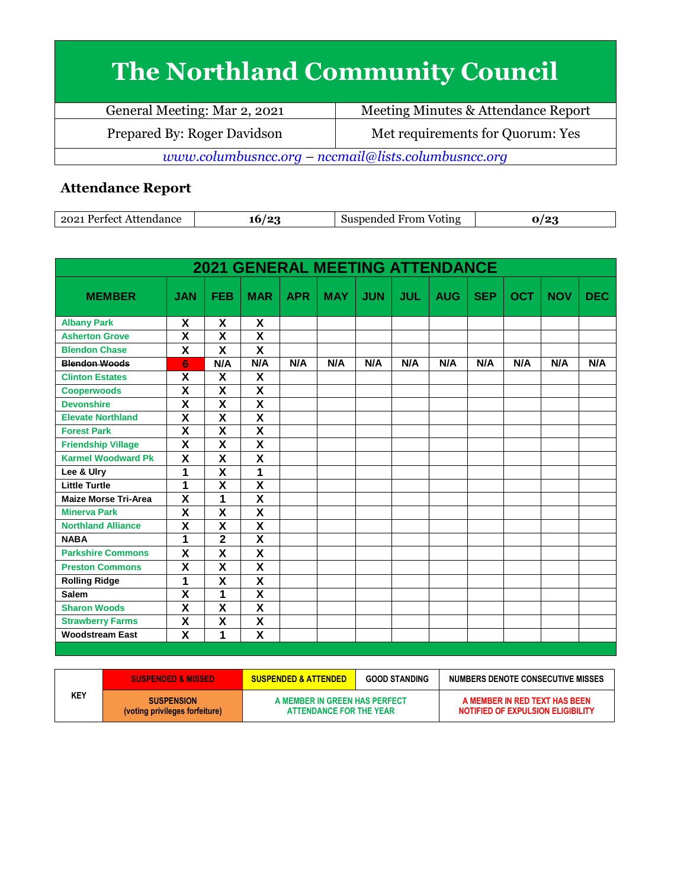## **The Northland Community Council**

| General Meeting: Mar 2, 2021                        | Meeting Minutes & Attendance Report |  |  |  |
|-----------------------------------------------------|-------------------------------------|--|--|--|
| Prepared By: Roger Davidson                         | Met requirements for Quorum: Yes    |  |  |  |
| www.columbusncc.org - nccmail@lists.columbusncc.org |                                     |  |  |  |

## **Attendance Report**

| $202^*$<br>Perfect Attendance | 0٠. | From<br>Suspended<br>. Voting<br>.511.S |  |
|-------------------------------|-----|-----------------------------------------|--|

|                             |                         |                         |                         |            | <b>2021 GENERAL MEETING ATTENDANCE</b> |            |            |            |            |            |            |            |
|-----------------------------|-------------------------|-------------------------|-------------------------|------------|----------------------------------------|------------|------------|------------|------------|------------|------------|------------|
| <b>MEMBER</b>               | <b>JAN</b>              | <b>FEB</b>              | <b>MAR</b>              | <b>APR</b> | <b>MAY</b>                             | <b>JUN</b> | <b>JUL</b> | <b>AUG</b> | <b>SEP</b> | <b>OCT</b> | <b>NOV</b> | <b>DEC</b> |
| <b>Albany Park</b>          | X                       | X                       | X                       |            |                                        |            |            |            |            |            |            |            |
| <b>Asherton Grove</b>       | X                       | X                       | X                       |            |                                        |            |            |            |            |            |            |            |
| <b>Blendon Chase</b>        | $\mathsf{x}$            | X                       | $\overline{\mathbf{x}}$ |            |                                        |            |            |            |            |            |            |            |
| <b>Blendon Woods</b>        | 6                       | N/A                     | N/A                     | N/A        | N/A                                    | N/A        | N/A        | N/A        | N/A        | N/A        | N/A        | N/A        |
| <b>Clinton Estates</b>      | X                       | X                       | X                       |            |                                        |            |            |            |            |            |            |            |
| <b>Cooperwoods</b>          | $\overline{\mathbf{X}}$ | $\overline{\mathbf{X}}$ | $\overline{\mathsf{x}}$ |            |                                        |            |            |            |            |            |            |            |
| <b>Devonshire</b>           | $\overline{\mathbf{x}}$ | $\overline{\mathbf{x}}$ | $\overline{\mathbf{x}}$ |            |                                        |            |            |            |            |            |            |            |
| <b>Elevate Northland</b>    | $\overline{\mathbf{x}}$ | $\overline{\mathbf{X}}$ | $\overline{\mathsf{x}}$ |            |                                        |            |            |            |            |            |            |            |
| <b>Forest Park</b>          | $\overline{\mathbf{x}}$ | $\overline{\mathsf{x}}$ | $\overline{\mathsf{x}}$ |            |                                        |            |            |            |            |            |            |            |
| <b>Friendship Village</b>   | $\overline{\mathbf{x}}$ | $\overline{\mathsf{x}}$ | $\overline{\mathsf{x}}$ |            |                                        |            |            |            |            |            |            |            |
| <b>Karmel Woodward Pk</b>   | $\mathsf{x}$            | X                       | X                       |            |                                        |            |            |            |            |            |            |            |
| Lee & Ulry                  | 1                       | $\overline{\mathsf{x}}$ | 1                       |            |                                        |            |            |            |            |            |            |            |
| <b>Little Turtle</b>        | 1                       | $\overline{\mathsf{x}}$ | $\overline{\mathsf{x}}$ |            |                                        |            |            |            |            |            |            |            |
| <b>Maize Morse Tri-Area</b> | X                       | 1                       | $\overline{\mathsf{x}}$ |            |                                        |            |            |            |            |            |            |            |
| <b>Minerva Park</b>         | X                       | X                       | $\overline{\mathsf{x}}$ |            |                                        |            |            |            |            |            |            |            |
| <b>Northland Alliance</b>   | X                       | $\overline{\mathbf{X}}$ | $\overline{\mathsf{x}}$ |            |                                        |            |            |            |            |            |            |            |
| <b>NABA</b>                 | 1                       | $\overline{2}$          | $\overline{\mathsf{x}}$ |            |                                        |            |            |            |            |            |            |            |
| <b>Parkshire Commons</b>    | $\overline{\mathsf{X}}$ | X                       | X                       |            |                                        |            |            |            |            |            |            |            |
| <b>Preston Commons</b>      | X                       | X                       | X                       |            |                                        |            |            |            |            |            |            |            |
| <b>Rolling Ridge</b>        | 1                       | X                       | $\overline{\mathsf{x}}$ |            |                                        |            |            |            |            |            |            |            |
| <b>Salem</b>                | $\overline{\mathbf{x}}$ | 1                       | $\overline{\mathsf{x}}$ |            |                                        |            |            |            |            |            |            |            |
| <b>Sharon Woods</b>         | X                       | X                       | $\overline{\mathsf{x}}$ |            |                                        |            |            |            |            |            |            |            |
| <b>Strawberry Farms</b>     | $\pmb{\mathsf{X}}$      | $\overline{\mathbf{X}}$ | $\overline{\mathsf{x}}$ |            |                                        |            |            |            |            |            |            |            |
| <b>Woodstream East</b>      | X                       | 1                       | $\overline{\mathsf{x}}$ |            |                                        |            |            |            |            |            |            |            |

|            | <b>SUSPENDED &amp; MISSED</b>                       | <b>SUSPENDED &amp; ATTENDED</b>                          | <b>GOOD STANDING</b> | NUMBERS DENOTE CONSECUTIVE MISSES                                  |
|------------|-----------------------------------------------------|----------------------------------------------------------|----------------------|--------------------------------------------------------------------|
| <b>KEY</b> | <b>SUSPENSION</b><br>(voting privileges forfeiture) | A MEMBER IN GREEN HAS PERFECT<br>ATTENDANCE FOR THE YEAR |                      | A MEMBER IN RED TEXT HAS BEEN<br>NOTIFIED OF EXPULSION ELIGIBILITY |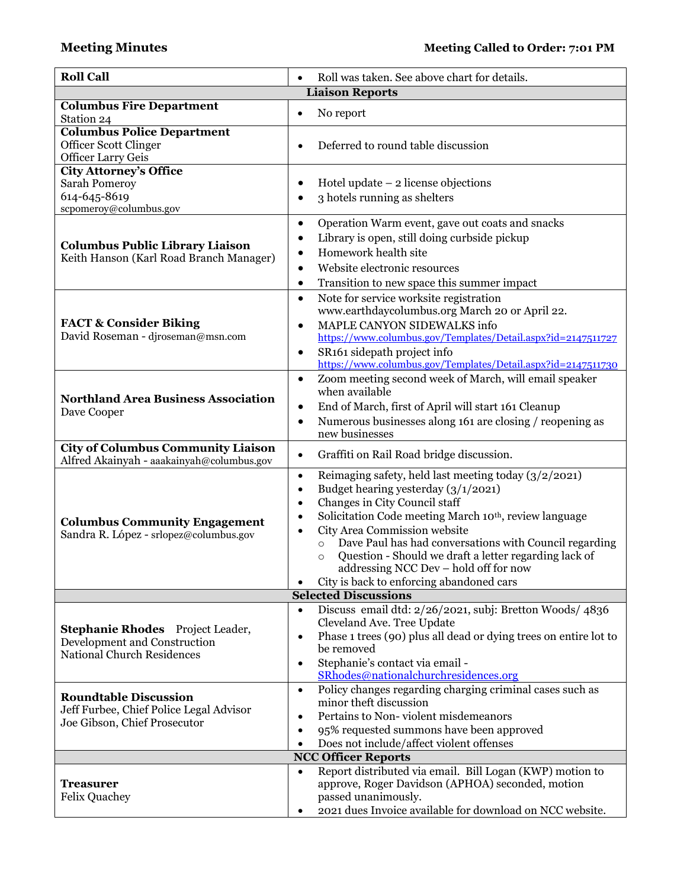| <b>Roll Call</b>                                                                                             | Roll was taken. See above chart for details.                                                                                                                                                                                                                                                                                                                                                                                                                               |
|--------------------------------------------------------------------------------------------------------------|----------------------------------------------------------------------------------------------------------------------------------------------------------------------------------------------------------------------------------------------------------------------------------------------------------------------------------------------------------------------------------------------------------------------------------------------------------------------------|
|                                                                                                              | <b>Liaison Reports</b>                                                                                                                                                                                                                                                                                                                                                                                                                                                     |
| <b>Columbus Fire Department</b><br>Station 24                                                                | No report<br>$\bullet$                                                                                                                                                                                                                                                                                                                                                                                                                                                     |
| <b>Columbus Police Department</b><br>Officer Scott Clinger<br><b>Officer Larry Geis</b>                      | Deferred to round table discussion                                                                                                                                                                                                                                                                                                                                                                                                                                         |
| <b>City Attorney's Office</b><br><b>Sarah Pomeroy</b><br>614-645-8619<br>scpomeroy@columbus.gov              | Hotel update $-2$ license objections<br>3 hotels running as shelters<br>$\bullet$                                                                                                                                                                                                                                                                                                                                                                                          |
| <b>Columbus Public Library Liaison</b><br>Keith Hanson (Karl Road Branch Manager)                            | Operation Warm event, gave out coats and snacks<br>$\bullet$<br>Library is open, still doing curbside pickup<br>$\bullet$<br>Homework health site<br>Website electronic resources<br>$\bullet$<br>Transition to new space this summer impact<br>$\bullet$                                                                                                                                                                                                                  |
| <b>FACT &amp; Consider Biking</b><br>David Roseman - djroseman@msn.com                                       | Note for service worksite registration<br>$\bullet$<br>www.earthdaycolumbus.org March 20 or April 22.<br>MAPLE CANYON SIDEWALKS info<br>$\bullet$<br>https://www.columbus.gov/Templates/Detail.aspx?id=2147511727<br>SR161 sidepath project info<br>$\bullet$<br>https://www.columbus.gov/Templates/Detail.aspx?id=2147511730                                                                                                                                              |
| <b>Northland Area Business Association</b><br>Dave Cooper                                                    | Zoom meeting second week of March, will email speaker<br>$\bullet$<br>when available<br>End of March, first of April will start 161 Cleanup<br>$\bullet$<br>Numerous businesses along 161 are closing / reopening as<br>$\bullet$<br>new businesses                                                                                                                                                                                                                        |
| <b>City of Columbus Community Liaison</b><br>Alfred Akainyah - aaakainyah@columbus.gov                       | Graffiti on Rail Road bridge discussion.<br>$\bullet$                                                                                                                                                                                                                                                                                                                                                                                                                      |
| <b>Columbus Community Engagement</b><br>Sandra R. López - srlopez@columbus.gov                               | Reimaging safety, held last meeting today $(3/2/2021)$<br>$\bullet$<br>Budget hearing yesterday (3/1/2021)<br>$\bullet$<br>Changes in City Council staff<br>$\bullet$<br>Solicitation Code meeting March 10 <sup>th</sup> , review language<br>$\bullet$<br>City Area Commission website<br>Dave Paul has had conversations with Council regarding<br>$\circ$<br>Question - Should we draft a letter regarding lack of<br>$\circ$<br>addressing NCC Dev - hold off for now |
|                                                                                                              | City is back to enforcing abandoned cars<br><b>Selected Discussions</b>                                                                                                                                                                                                                                                                                                                                                                                                    |
| <b>Stephanie Rhodes</b> Project Leader,<br>Development and Construction<br><b>National Church Residences</b> | Discuss email dtd: 2/26/2021, subj: Bretton Woods/ 4836<br>$\bullet$<br>Cleveland Ave. Tree Update<br>Phase 1 trees (90) plus all dead or dying trees on entire lot to<br>$\bullet$<br>be removed<br>Stephanie's contact via email -<br>$\bullet$<br>SRhodes@nationalchurchresidences.org                                                                                                                                                                                  |
| <b>Roundtable Discussion</b><br>Jeff Furbee, Chief Police Legal Advisor<br>Joe Gibson, Chief Prosecutor      | Policy changes regarding charging criminal cases such as<br>$\bullet$<br>minor theft discussion<br>Pertains to Non-violent misdemeanors<br>٠<br>95% requested summons have been approved<br>$\bullet$<br>Does not include/affect violent offenses                                                                                                                                                                                                                          |
|                                                                                                              | <b>NCC Officer Reports</b>                                                                                                                                                                                                                                                                                                                                                                                                                                                 |
| <b>Treasurer</b><br><b>Felix Quachey</b>                                                                     | Report distributed via email. Bill Logan (KWP) motion to<br>$\bullet$<br>approve, Roger Davidson (APHOA) seconded, motion<br>passed unanimously.<br>2021 dues Invoice available for download on NCC website.                                                                                                                                                                                                                                                               |